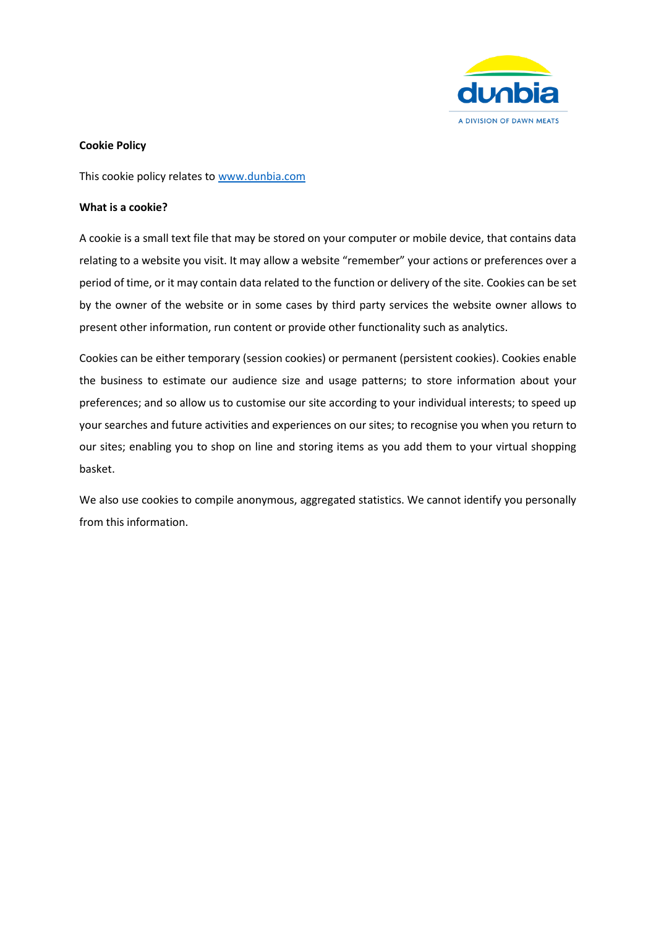

# **Cookie Policy**

This cookie policy relates to [www.dunbia.com](http://www.dunbia.com/)

## **What is a cookie?**

A cookie is a small text file that may be stored on your computer or mobile device, that contains data relating to a website you visit. It may allow a website "remember" your actions or preferences over a period of time, or it may contain data related to the function or delivery of the site. Cookies can be set by the owner of the website or in some cases by third party services the website owner allows to present other information, run content or provide other functionality such as analytics.

Cookies can be either temporary (session cookies) or permanent (persistent cookies). Cookies enable the business to estimate our audience size and usage patterns; to store information about your preferences; and so allow us to customise our site according to your individual interests; to speed up your searches and future activities and experiences on our sites; to recognise you when you return to our sites; enabling you to shop on line and storing items as you add them to your virtual shopping basket.

We also use cookies to compile anonymous, aggregated statistics. We cannot identify you personally from this information.